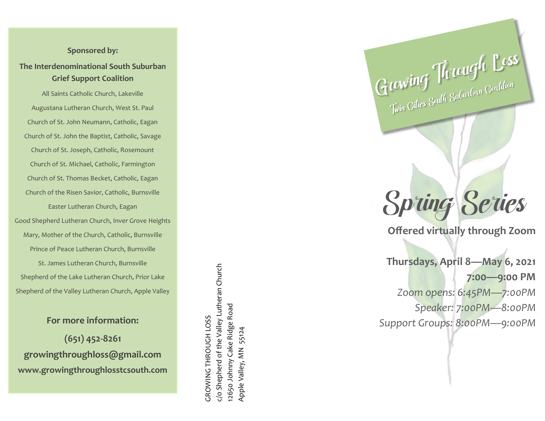## **Sponsored by:**

**The Interdenominational South Suburban Grief Support Coalition**

All Saints Catholic Church, Lakeville Augustana Lutheran Church, West St. Paul Church of St. John Neumann, Catholic, Eagan Church of St. John the Baptist, Catholic, Savage Church of St. Joseph, Catholic, Rosemount Church of St. Michael, Catholic, Farmington Church of St. Thomas Becket, Catholic, Eagan Church of the Risen Savior, Catholic, Burnsville Easter Lutheran Church, Eagan Good Shepherd Lutheran Church, Inver Grove Heights Mary, Mother of the Church, Catholic, Burnsville Prince of Peace Lutheran Church, Burnsville St. James Lutheran Church, Burnsville Shepherd of the Lake Lutheran Church, Prior Lake

**For more information:**

Shepherd of the Valley Lutheran Church, Apple Valley

**(651) 452 -8261 growingthroughloss@gmail.com www.growingthroughlosstcsouth.com**

c/o Shepherd of the Valley Lutheran Church c/o Shepherd of the Valley Lutheran Church 2650 Johnny Cake Ridge Road 12650 Johnny Cake Ridge Road *GROWING THROUGH LOSS* GROWING THROUGH LOSS Apple Valley, MN 55124 Apple Valley, MN 55124 Spring Series

Growing Through Loss

**Offered virtually through Zoom**

**Thursdays, April 8 —May 6, 2021 7:00 —9:00 PM** *Zoom opens: 6:45PM —7:00PM Speaker: 7:00PM —8:00PM Support Groups: 8:00PM —9:00PM*